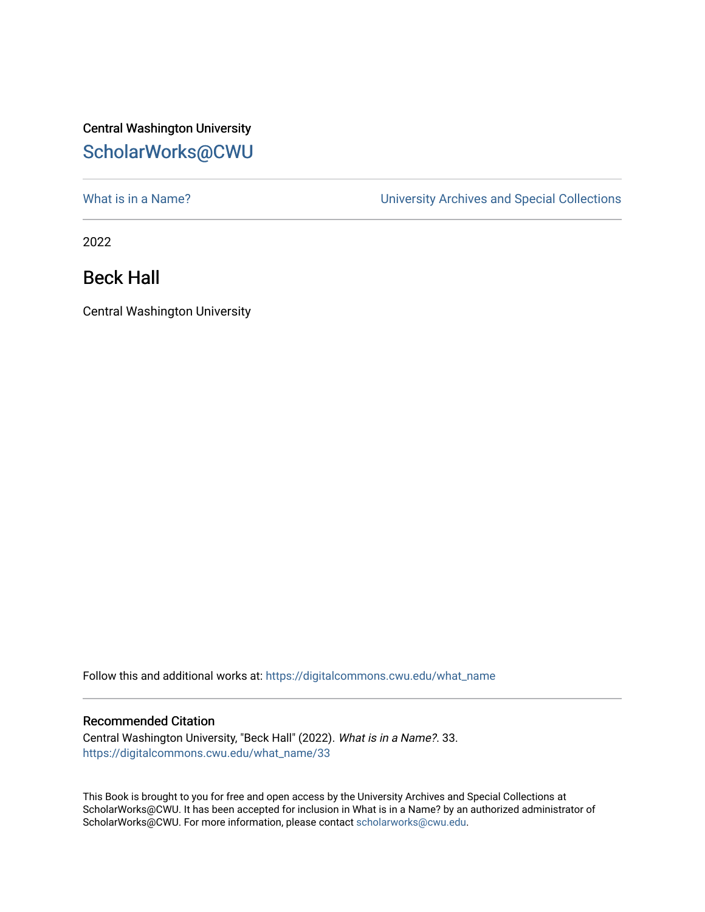## Central Washington University [ScholarWorks@CWU](https://digitalcommons.cwu.edu/)

[What is in a Name?](https://digitalcommons.cwu.edu/what_name) **What is in a Name?** University Archives and Special Collections

2022

Beck Hall

Central Washington University

Follow this and additional works at: [https://digitalcommons.cwu.edu/what\\_name](https://digitalcommons.cwu.edu/what_name?utm_source=digitalcommons.cwu.edu%2Fwhat_name%2F33&utm_medium=PDF&utm_campaign=PDFCoverPages) 

## Recommended Citation

Central Washington University, "Beck Hall" (2022). What is in a Name?. 33. [https://digitalcommons.cwu.edu/what\\_name/33](https://digitalcommons.cwu.edu/what_name/33?utm_source=digitalcommons.cwu.edu%2Fwhat_name%2F33&utm_medium=PDF&utm_campaign=PDFCoverPages) 

This Book is brought to you for free and open access by the University Archives and Special Collections at ScholarWorks@CWU. It has been accepted for inclusion in What is in a Name? by an authorized administrator of ScholarWorks@CWU. For more information, please contact [scholarworks@cwu.edu](mailto:scholarworks@cwu.edu).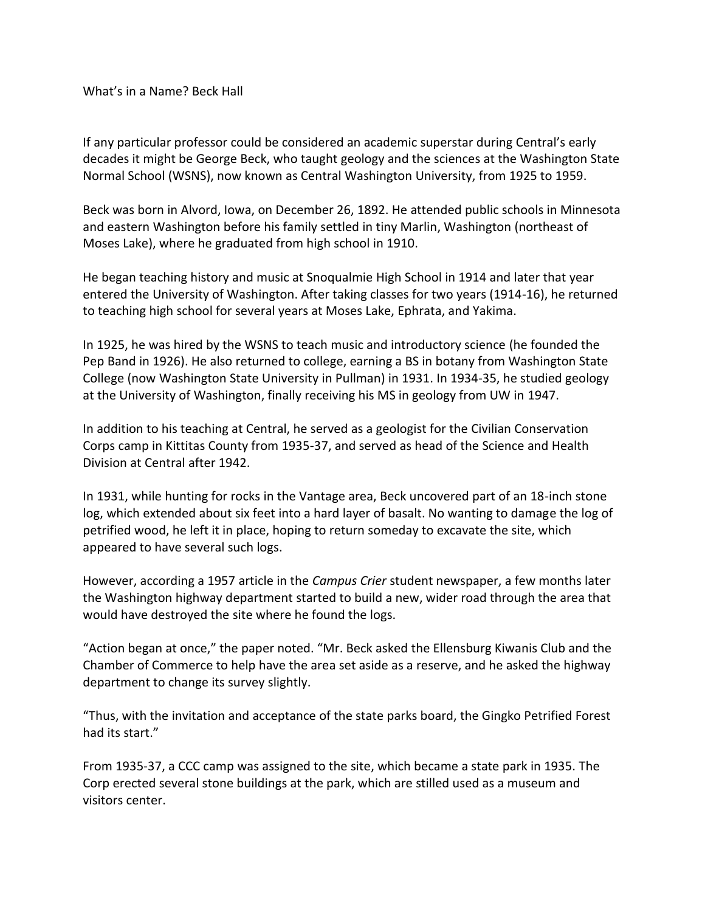What's in a Name? Beck Hall

If any particular professor could be considered an academic superstar during Central's early decades it might be George Beck, who taught geology and the sciences at the Washington State Normal School (WSNS), now known as Central Washington University, from 1925 to 1959.

Beck was born in Alvord, Iowa, on December 26, 1892. He attended public schools in Minnesota and eastern Washington before his family settled in tiny Marlin, Washington (northeast of Moses Lake), where he graduated from high school in 1910.

He began teaching history and music at Snoqualmie High School in 1914 and later that year entered the University of Washington. After taking classes for two years (1914-16), he returned to teaching high school for several years at Moses Lake, Ephrata, and Yakima.

In 1925, he was hired by the WSNS to teach music and introductory science (he founded the Pep Band in 1926). He also returned to college, earning a BS in botany from Washington State College (now Washington State University in Pullman) in 1931. In 1934-35, he studied geology at the University of Washington, finally receiving his MS in geology from UW in 1947.

In addition to his teaching at Central, he served as a geologist for the Civilian Conservation Corps camp in Kittitas County from 1935-37, and served as head of the Science and Health Division at Central after 1942.

In 1931, while hunting for rocks in the Vantage area, Beck uncovered part of an 18-inch stone log, which extended about six feet into a hard layer of basalt. No wanting to damage the log of petrified wood, he left it in place, hoping to return someday to excavate the site, which appeared to have several such logs.

However, according a 1957 article in the *Campus Crier* student newspaper, a few months later the Washington highway department started to build a new, wider road through the area that would have destroyed the site where he found the logs.

"Action began at once," the paper noted. "Mr. Beck asked the Ellensburg Kiwanis Club and the Chamber of Commerce to help have the area set aside as a reserve, and he asked the highway department to change its survey slightly.

"Thus, with the invitation and acceptance of the state parks board, the Gingko Petrified Forest had its start."

From 1935-37, a CCC camp was assigned to the site, which became a state park in 1935. The Corp erected several stone buildings at the park, which are stilled used as a museum and visitors center.